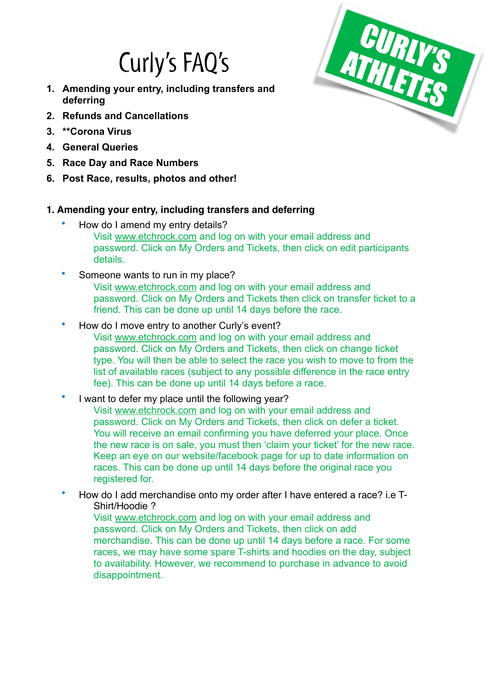# Curly's FAQ's

- **1. Amending your entry, including transfers and deferring**
- **2. Refunds and Cancellations**
- **3. \*\*Corona Virus**
- **4. General Queries**
- **5. Race Day and Race Numbers**
- **6. Post Race, results, photos and other!**

## **1. Amending your entry, including transfers and deferring**

- How do I amend my entry details? Visit [www.etchrock.com](http://www.etchrock.com) and log on with your email address and
	- password. Click on My Orders and Tickets, then click on edit participants details.
- Someone wants to run in my place? Visit [www.etchrock.com](http://www.etchrock.com) and log on with your email address and password. Click on My Orders and Tickets then click on transfer ticket to a friend. This can be done up until 14 days before the race.
- How do I move entry to another Curly's event? Visit [www.etchrock.com](http://www.etchrock.com) and log on with your email address and password. Click on My Orders and Tickets, then click on change ticket type. You will then be able to select the race you wish to move to from the list of available races (subject to any possible difference in the race entry fee). This can be done up until 14 days before a race.
- I want to defer my place until the following vear? Visit [www.etchrock.com](http://www.etchrock.com) and log on with your email address and password. Click on My Orders and Tickets, then click on defer a ticket. You will receive an email confirming you have deferred your place. Once the new race is on sale, you must then 'claim your ticket' for the new race. Keep an eye on our website/facebook page for up to date information on races. This can be done up until 14 days before the original race you registered for.
- How do I add merchandise onto my order after I have entered a race? i.e T-Shirt/Hoodie ?

Visit [www.etchrock.com](http://www.etchrock.com) and log on with your email address and password. Click on My Orders and Tickets, then click on add merchandise. This can be done up until 14 days before a race. For some races, we may have some spare T-shirts and hoodies on the day, subject to availability. However, we recommend to purchase in advance to avoid disappointment.

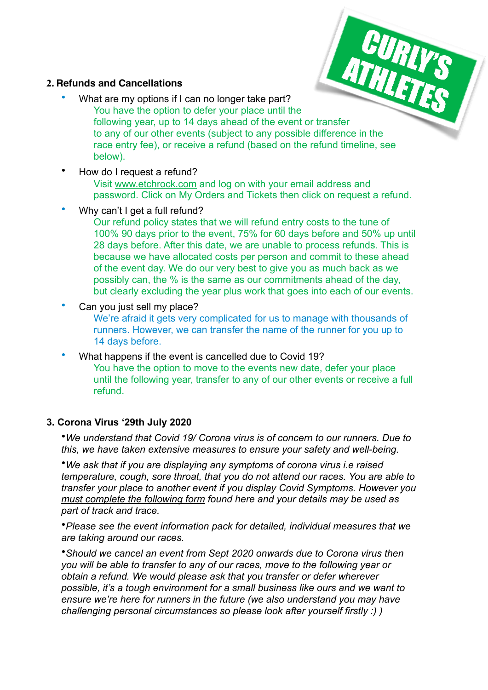#### **2. Refunds and Cancellations**

- What are my options if I can no longer take part? You have the option to defer your place until the Following year, up to 14 days ahead of the event or transfer to any of our other events (subject to any possible difference in the race entry fee), or receive a refund (based on the refund timeline, see below).
- How do I request a refund?

Visit [www.etchrock.com](http://www.etchrock.com) and log on with your email address and password. Click on My Orders and Tickets then click on request a refund.

Why can't I get a full refund?

Our refund policy states that we will refund entry costs to the tune of 100% 90 days prior to the event, 75% for 60 days before and 50% up until 28 days before. After this date, we are unable to process refunds. This is because we have allocated costs per person and commit to these ahead of the event day. We do our very best to give you as much back as we possibly can, the % is the same as our commitments ahead of the day, but clearly excluding the year plus work that goes into each of our events.

Can you just sell my place?

We're afraid it gets very complicated for us to manage with thousands of runners. However, we can transfer the name of the runner for you up to 14 days before.

• What happens if the event is cancelled due to Covid 19? You have the option to move to the events new date, defer your place until the following year, transfer to any of our other events or receive a full refund.

### **3. Corona Virus '29th July 2020**

•*We understand that Covid 19/ Corona virus is of concern to our runners. Due to this, we have taken extensive measures to ensure your safety and well-being.* 

•*We ask that if you are displaying any symptoms of corona virus i.e raised temperature, cough, sore throat, that you do not attend our races. You are able to transfer your place to another event if you display Covid Symptoms. However you [must complete the following form](https://curlysathletes.co.uk/questions?#8f120023-e3d8-4b70-8897-35660c20fd24) found here and your details may be used as part of track and trace.* 

•*Please see the event information pack for detailed, individual measures that we are taking around our races.* 

•*Should we cancel an event from Sept 2020 onwards due to Corona virus then you will be able to transfer to any of our races, move to the following year or obtain a refund. We would please ask that you transfer or defer wherever possible, it's a tough environment for a small business like ours and we want to ensure we're here for runners in the future (we also understand you may have challenging personal circumstances so please look after yourself firstly :) )*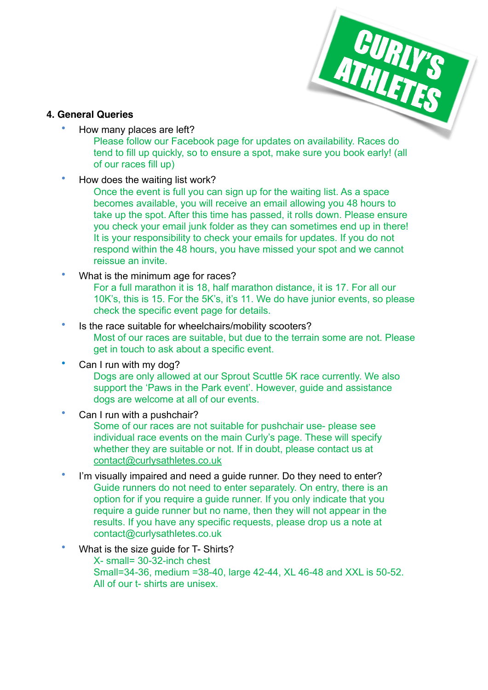

#### **4. General Queries**

• How many places are left?

Please follow our Facebook page for updates on availability. Races do tend to fill up quickly, so to ensure a spot, make sure you book early! (all of our races fill up)

• How does the waiting list work?

Once the event is full you can sign up for the waiting list. As a space becomes available, you will receive an email allowing you 48 hours to take up the spot. After this time has passed, it rolls down. Please ensure you check your email junk folder as they can sometimes end up in there! It is your responsibility to check your emails for updates. If you do not respond within the 48 hours, you have missed your spot and we cannot reissue an invite.

What is the minimum age for races?

For a full marathon it is 18, half marathon distance, it is 17. For all our 10K's, this is 15. For the 5K's, it's 11. We do have junior events, so please check the specific event page for details.

- Is the race suitable for wheelchairs/mobility scooters? Most of our races are suitable, but due to the terrain some are not. Please get in touch to ask about a specific event.
- Can I run with my dog?

Dogs are only allowed at our Sprout Scuttle 5K race currently. We also support the 'Paws in the Park event'. However, guide and assistance dogs are welcome at all of our events.

Can I run with a pushchair?

Some of our races are not suitable for pushchair use- please see individual race events on the main Curly's page. These will specify whether they are suitable or not. If in doubt, please contact us at [contact@curlysathletes.co.uk](mailto:contact@curlysathletes.co.uk)

- I'm visually impaired and need a guide runner. Do they need to enter? Guide runners do not need to enter separately. On entry, there is an option for if you require a guide runner. If you only indicate that you require a guide runner but no name, then they will not appear in the results. If you have any specific requests, please drop us a note at contact@curlysathletes.co.uk
- What is the size quide for T- Shirts?
	- X- small= 30-32-inch chest Small=34-36, medium =38-40, large 42-44, XL 46-48 and XXL is 50-52. All of our t- shirts are unisex.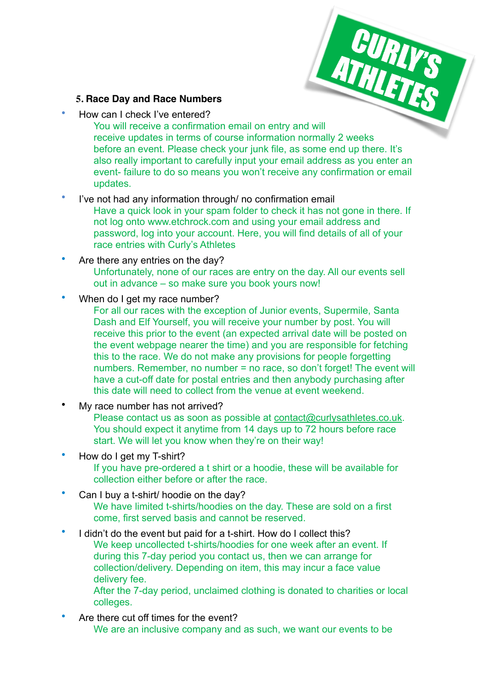#### **5. Race Day and Race Numbers**

• How can I check I've entered?

You will receive a confirmation email on entry and will receive updates in terms of course information normally 2 weeks before an event. Please check your junk file, as some end up there. It's also really important to carefully input your email address as you enter an event- failure to do so means you won't receive any confirmation or email updates.

**CURIYS** 

- I've not had any information through/ no confirmation email
	- Have a quick look in your spam folder to check it has not gone in there. If not log onto www.etchrock.com and using your email address and password, log into your account. Here, you will find details of all of your race entries with Curly's Athletes
- Are there any entries on the day? Unfortunately, none of our races are entry on the day. All our events sell out in advance – so make sure you book yours now!
- When do I get my race number?
	- For all our races with the exception of Junior events, Supermile, Santa Dash and Elf Yourself, you will receive your number by post. You will receive this prior to the event (an expected arrival date will be posted on the event webpage nearer the time) and you are responsible for fetching this to the race. We do not make any provisions for people forgetting numbers. Remember, no number = no race, so don't forget! The event will have a cut-off date for postal entries and then anybody purchasing after this date will need to collect from the venue at event weekend.
- My race number has not arrived?

Please contact us as soon as possible at [contact@curlysathletes.co.uk.](mailto:contact@curlysathletes.co.uk) You should expect it anytime from 14 days up to 72 hours before race start. We will let you know when they're on their way!

- How do I get my T-shirt? If you have pre-ordered a t shirt or a hoodie, these will be available for collection either before or after the race.
- Can I buy a t-shirt/ hoodie on the day? We have limited t-shirts/hoodies on the day. These are sold on a first come, first served basis and cannot be reserved.
- I didn't do the event but paid for a t-shirt. How do I collect this? We keep uncollected t-shirts/hoodies for one week after an event. If during this 7-day period you contact us, then we can arrange for collection/delivery. Depending on item, this may incur a face value delivery fee.

After the 7-day period, unclaimed clothing is donated to charities or local colleges.

Are there cut off times for the event?

We are an inclusive company and as such, we want our events to be